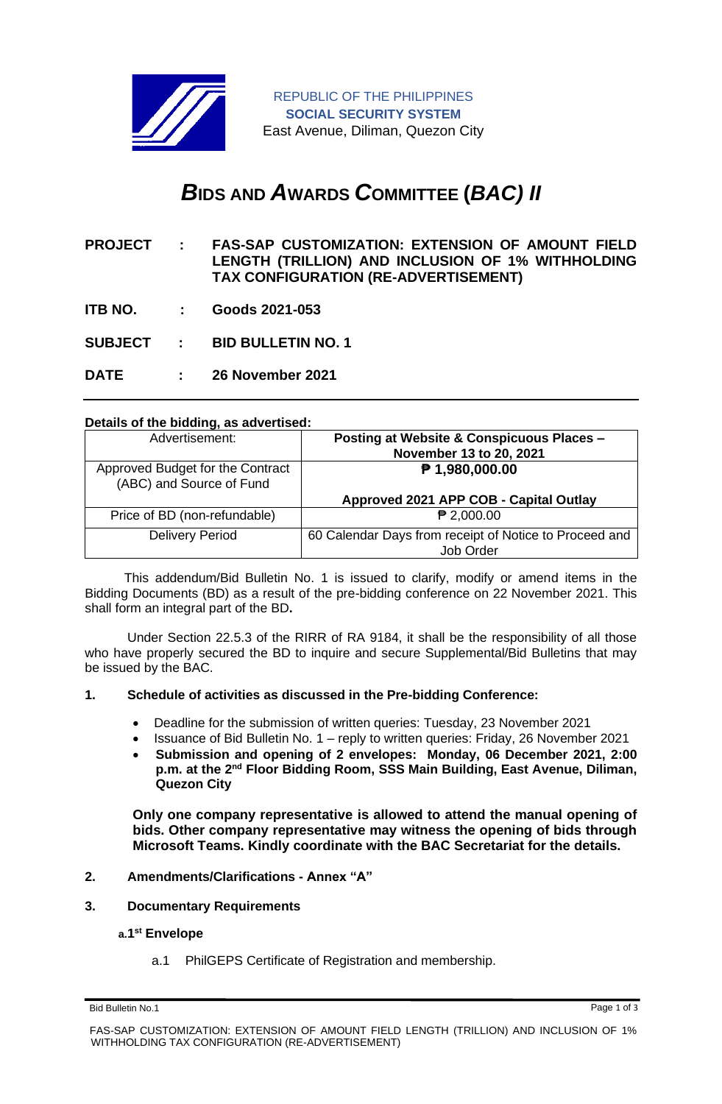

# *B***IDS AND** *A***WARDS** *C***OMMITTEE (***BAC) II*

- **PROJECT : FAS-SAP CUSTOMIZATION: EXTENSION OF AMOUNT FIELD LENGTH (TRILLION) AND INCLUSION OF 1% WITHHOLDING TAX CONFIGURATION (RE-ADVERTISEMENT)**
- **ITB NO. : Goods 2021-053**
- **SUBJECT : BID BULLETIN NO. 1**

**DATE : 26 November 2021**

# **Details of the bidding, as advertised:**

| Advertisement:                                               | Posting at Website & Conspicuous Places -<br>November 13 to 20, 2021 |
|--------------------------------------------------------------|----------------------------------------------------------------------|
| Approved Budget for the Contract<br>(ABC) and Source of Fund | $P$ 1,980,000.00                                                     |
|                                                              | Approved 2021 APP COB - Capital Outlay                               |
| Price of BD (non-refundable)                                 | $P$ 2,000.00                                                         |
| <b>Delivery Period</b>                                       | 60 Calendar Days from receipt of Notice to Proceed and<br>Job Order. |

 This addendum/Bid Bulletin No. 1 is issued to clarify, modify or amend items in the Bidding Documents (BD) as a result of the pre-bidding conference on 22 November 2021. This shall form an integral part of the BD**.**

Under Section 22.5.3 of the RIRR of RA 9184, it shall be the responsibility of all those who have properly secured the BD to inquire and secure Supplemental/Bid Bulletins that may be issued by the BAC.

# **1. Schedule of activities as discussed in the Pre-bidding Conference:**

- Deadline for the submission of written queries: Tuesday, 23 November 2021
- Issuance of Bid Bulletin No. 1 reply to written queries: Friday, 26 November 2021
- **Submission and opening of 2 envelopes: Monday, 06 December 2021, 2:00 p.m. at the 2nd Floor Bidding Room, SSS Main Building, East Avenue, Diliman, Quezon City**

**Only one company representative is allowed to attend the manual opening of bids. Other company representative may witness the opening of bids through Microsoft Teams. Kindly coordinate with the BAC Secretariat for the details.**

### **2. Amendments/Clarifications - Annex "A"**

**3. Documentary Requirements**

# **a.1 st Envelope**

a.1 PhilGEPS Certificate of Registration and membership.

Bid Bulletin No.1 Page 1 of 3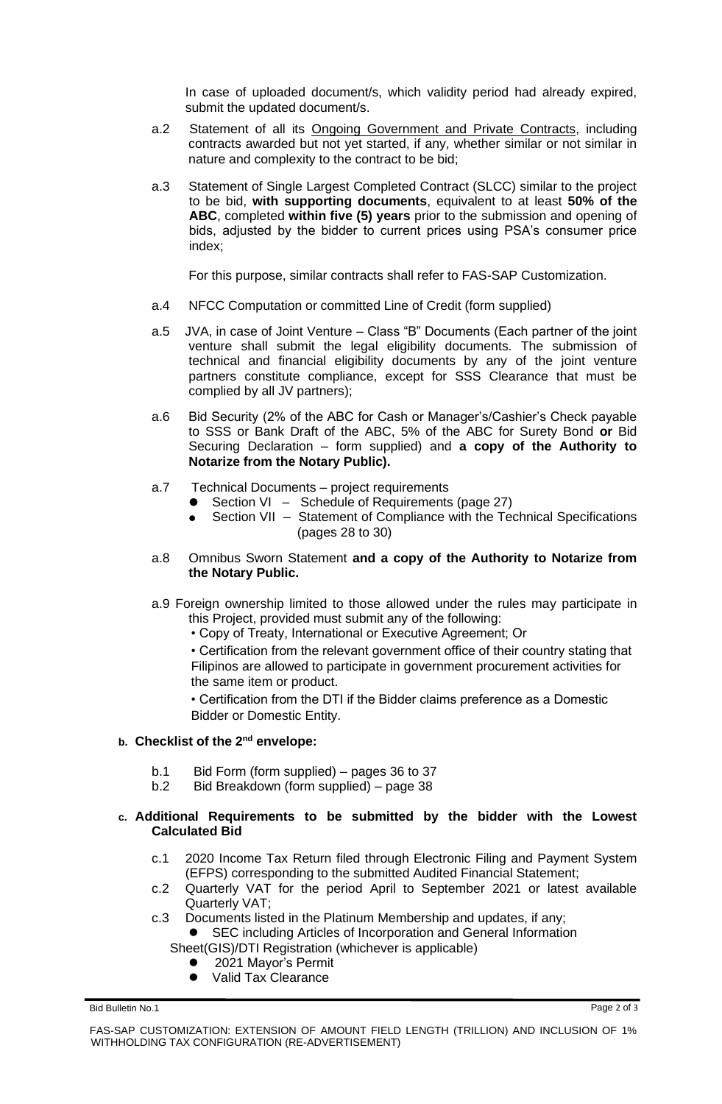In case of uploaded document/s, which validity period had already expired, submit the updated document/s.

- a.2 Statement of all its Ongoing Government and Private Contracts, including contracts awarded but not yet started, if any, whether similar or not similar in nature and complexity to the contract to be bid;
- a.3 Statement of Single Largest Completed Contract (SLCC) similar to the project to be bid, **with supporting documents**, equivalent to at least **50% of the ABC**, completed **within five (5) years** prior to the submission and opening of bids, adjusted by the bidder to current prices using PSA's consumer price index;

For this purpose, similar contracts shall refer to FAS-SAP Customization.

- a.4 NFCC Computation or committed Line of Credit (form supplied)
- a.5 JVA, in case of Joint Venture Class "B" Documents (Each partner of the joint venture shall submit the legal eligibility documents. The submission of technical and financial eligibility documents by any of the joint venture partners constitute compliance, except for SSS Clearance that must be complied by all JV partners);
- a.6 Bid Security (2% of the ABC for Cash or Manager's/Cashier's Check payable to SSS or Bank Draft of the ABC, 5% of the ABC for Surety Bond **or** Bid Securing Declaration – form supplied) and **a copy of the Authority to Notarize from the Notary Public).**
- a.7 Technical Documents project requirements
	- Section VI Schedule of Requirements (page 27)
	- Section VII Statement of Compliance with the Technical Specifications (pages 28 to 30)
- a.8 Omnibus Sworn Statement **and a copy of the Authority to Notarize from the Notary Public.**
- a.9 Foreign ownership limited to those allowed under the rules may participate in this Project, provided must submit any of the following:
	- Copy of Treaty, International or Executive Agreement; Or

• Certification from the relevant government office of their country stating that Filipinos are allowed to participate in government procurement activities for the same item or product.

• Certification from the DTI if the Bidder claims preference as a Domestic Bidder or Domestic Entity.

# **b. Checklist of the 2nd envelope:**

- b.1 Bid Form (form supplied) pages 36 to 37
- b.2 Bid Breakdown (form supplied) page 38

#### **c. Additional Requirements to be submitted by the bidder with the Lowest Calculated Bid**

- c.1 2020 Income Tax Return filed through Electronic Filing and Payment System (EFPS) corresponding to the submitted Audited Financial Statement;
- c.2 Quarterly VAT for the period April to September 2021 or latest available Quarterly VAT;
- c.3 Documents listed in the Platinum Membership and updates, if any;
	- SEC including Articles of Incorporation and General Information Sheet(GIS)/DTI Registration (whichever is applicable)
		- ⚫ 2021 Mayor's Permit
		- ⚫ Valid Tax Clearance

Bid Bulletin No.1 Page 2 of 3